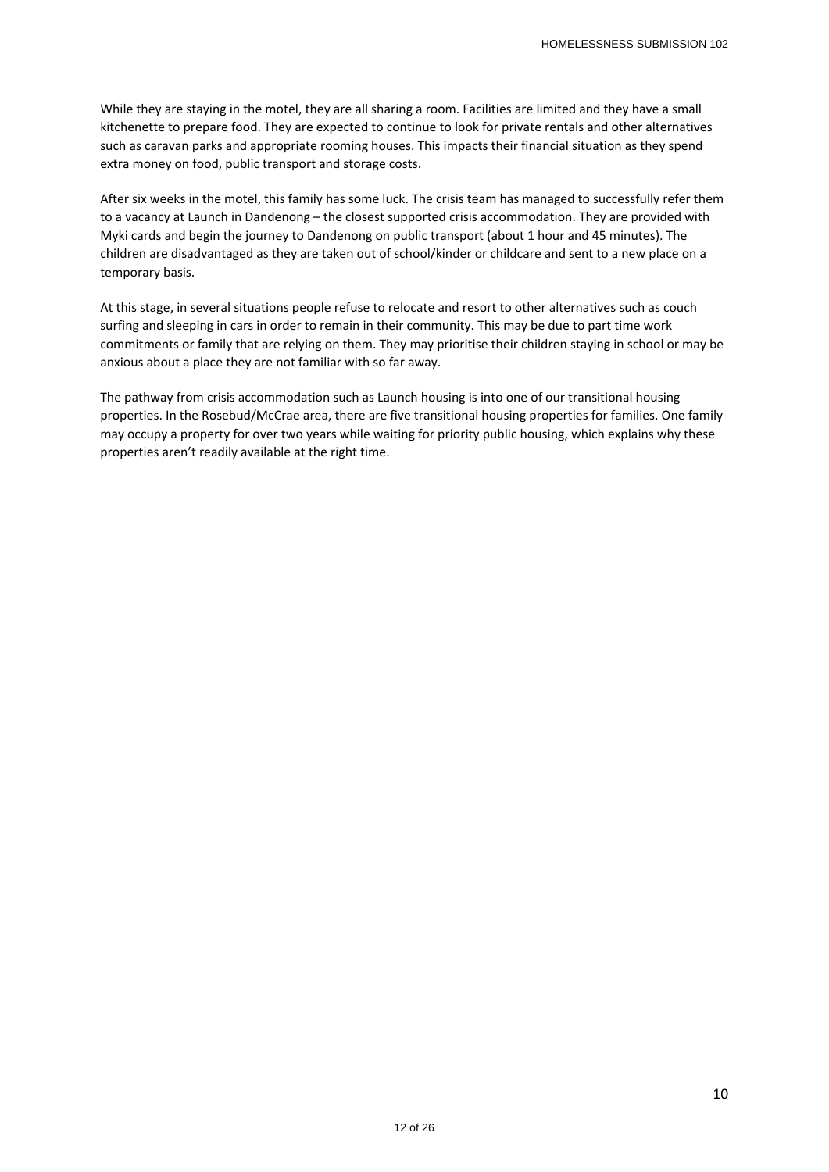While they are staying in the motel, they are all sharing a room. Facilities are limited and they have a small kitchenette to prepare food. They are expected to continue to look for private rentals and other alternatives such as caravan parks and appropriate rooming houses. This impacts their financial situation as they spend extra money on food, public transport and storage costs.

After six weeks in the motel, this family has some luck. The crisis team has managed to successfully refer them to a vacancy at Launch in Dandenong – the closest supported crisis accommodation. They are provided with Myki cards and begin the journey to Dandenong on public transport (about 1 hour and 45 minutes). The children are disadvantaged as they are taken out of school/kinder or childcare and sent to a new place on a temporary basis.

At this stage, in several situations people refuse to relocate and resort to other alternatives such as couch surfing and sleeping in cars in order to remain in their community. This may be due to part time work commitments or family that are relying on them. They may prioritise their children staying in school or may be anxious about a place they are not familiar with so far away.

The pathway from crisis accommodation such as Launch housing is into one of our transitional housing properties. In the Rosebud/McCrae area, there are five transitional housing properties for families. One family may occupy a property for over two years while waiting for priority public housing, which explains why these properties aren't readily available at the right time.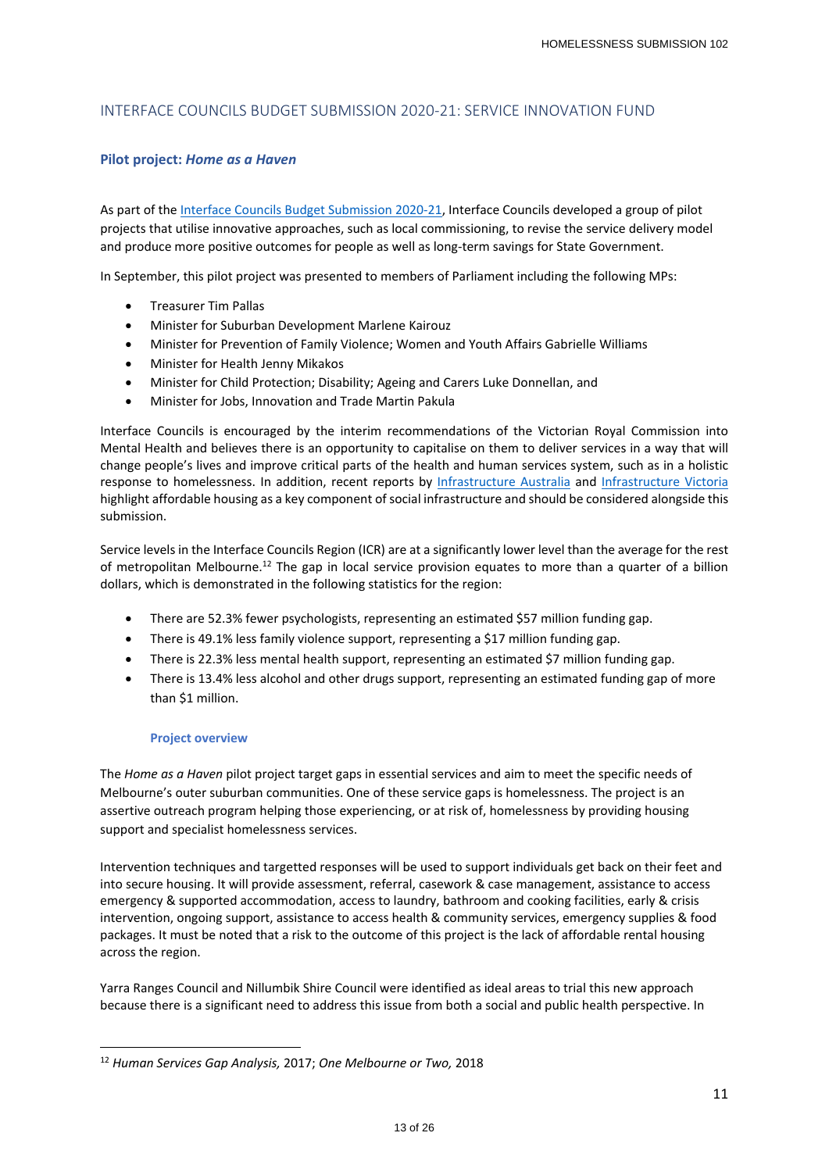## INTERFACE COUNCILS BUDGET SUBMISSION 2020‐21: SERVICE INNOVATION FUND

#### **Pilot project:** *Home as a Haven*

As part of the Interface Councils Budget Submission 2020‐21, Interface Councils developed a group of pilot projects that utilise innovative approaches, such as local commissioning, to revise the service delivery model and produce more positive outcomes for people as well as long-term savings for State Government.

In September, this pilot project was presented to members of Parliament including the following MPs:

- Treasurer Tim Pallas
- Minister for Suburban Development Marlene Kairouz
- Minister for Prevention of Family Violence; Women and Youth Affairs Gabrielle Williams
- Minister for Health Jenny Mikakos
- Minister for Child Protection; Disability; Ageing and Carers Luke Donnellan, and
- Minister for Jobs, Innovation and Trade Martin Pakula

Interface Councils is encouraged by the interim recommendations of the Victorian Royal Commission into Mental Health and believes there is an opportunity to capitalise on them to deliver services in a way that will change people's lives and improve critical parts of the health and human services system, such as in a holistic response to homelessness. In addition, recent reports by Infrastructure Australia and Infrastructure Victoria highlight affordable housing as a key component of social infrastructure and should be considered alongside this submission.

Service levels in the Interface Councils Region (ICR) are at a significantly lower level than the average for the rest of metropolitan Melbourne.<sup>12</sup> The gap in local service provision equates to more than a quarter of a billion dollars, which is demonstrated in the following statistics for the region:

- There are 52.3% fewer psychologists, representing an estimated \$57 million funding gap.
- There is 49.1% less family violence support, representing a \$17 million funding gap.
- There is 22.3% less mental health support, representing an estimated \$7 million funding gap.
- There is 13.4% less alcohol and other drugs support, representing an estimated funding gap of more than \$1 million.

#### **Project overview**

The *Home as a Haven* pilot project target gaps in essential services and aim to meet the specific needs of Melbourne's outer suburban communities. One of these service gaps is homelessness. The project is an assertive outreach program helping those experiencing, or at risk of, homelessness by providing housing support and specialist homelessness services.

Intervention techniques and targetted responses will be used to support individuals get back on their feet and into secure housing. It will provide assessment, referral, casework & case management, assistance to access emergency & supported accommodation, access to laundry, bathroom and cooking facilities, early & crisis intervention, ongoing support, assistance to access health & community services, emergency supplies & food packages. It must be noted that a risk to the outcome of this project is the lack of affordable rental housing across the region.

Yarra Ranges Council and Nillumbik Shire Council were identified as ideal areas to trial this new approach because there is a significant need to address this issue from both a social and public health perspective. In

<sup>12</sup> *Human Services Gap Analysis,* 2017; *One Melbourne or Two,* 2018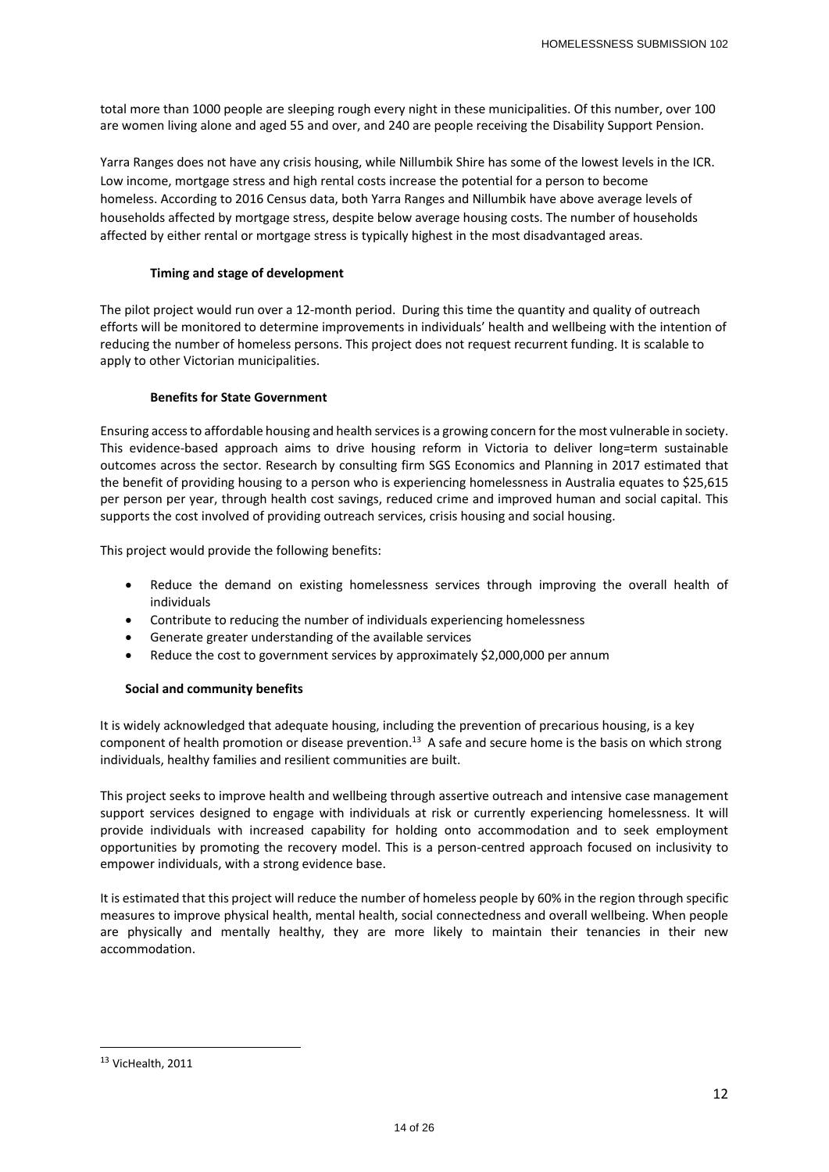total more than 1000 people are sleeping rough every night in these municipalities. Of this number, over 100 are women living alone and aged 55 and over, and 240 are people receiving the Disability Support Pension.

Yarra Ranges does not have any crisis housing, while Nillumbik Shire has some of the lowest levels in the ICR. Low income, mortgage stress and high rental costs increase the potential for a person to become homeless. According to 2016 Census data, both Yarra Ranges and Nillumbik have above average levels of households affected by mortgage stress, despite below average housing costs. The number of households affected by either rental or mortgage stress is typically highest in the most disadvantaged areas.

#### **Timing and stage of development**

The pilot project would run over a 12-month period. During this time the quantity and quality of outreach efforts will be monitored to determine improvements in individuals' health and wellbeing with the intention of reducing the number of homeless persons. This project does not request recurrent funding. It is scalable to apply to other Victorian municipalities.

#### **Benefits for State Government**

Ensuring access to affordable housing and health services is a growing concern for the most vulnerable in society. This evidence-based approach aims to drive housing reform in Victoria to deliver long=term sustainable outcomes across the sector. Research by consulting firm SGS Economics and Planning in 2017 estimated that the benefit of providing housing to a person who is experiencing homelessness in Australia equates to \$25,615 per person per year, through health cost savings, reduced crime and improved human and social capital. This supports the cost involved of providing outreach services, crisis housing and social housing.

This project would provide the following benefits:

- Reduce the demand on existing homelessness services through improving the overall health of individuals
- Contribute to reducing the number of individuals experiencing homelessness
- Generate greater understanding of the available services
- Reduce the cost to government services by approximately \$2,000,000 per annum

#### **Social and community benefits**

It is widely acknowledged that adequate housing, including the prevention of precarious housing, is a key component of health promotion or disease prevention.13 A safe and secure home is the basis on which strong individuals, healthy families and resilient communities are built.

This project seeks to improve health and wellbeing through assertive outreach and intensive case management support services designed to engage with individuals at risk or currently experiencing homelessness. It will provide individuals with increased capability for holding onto accommodation and to seek employment opportunities by promoting the recovery model. This is a person‐centred approach focused on inclusivity to empower individuals, with a strong evidence base.

It is estimated that this project will reduce the number of homeless people by 60% in the region through specific measures to improve physical health, mental health, social connectedness and overall wellbeing. When people are physically and mentally healthy, they are more likely to maintain their tenancies in their new accommodation.

<sup>13</sup> VicHealth, 2011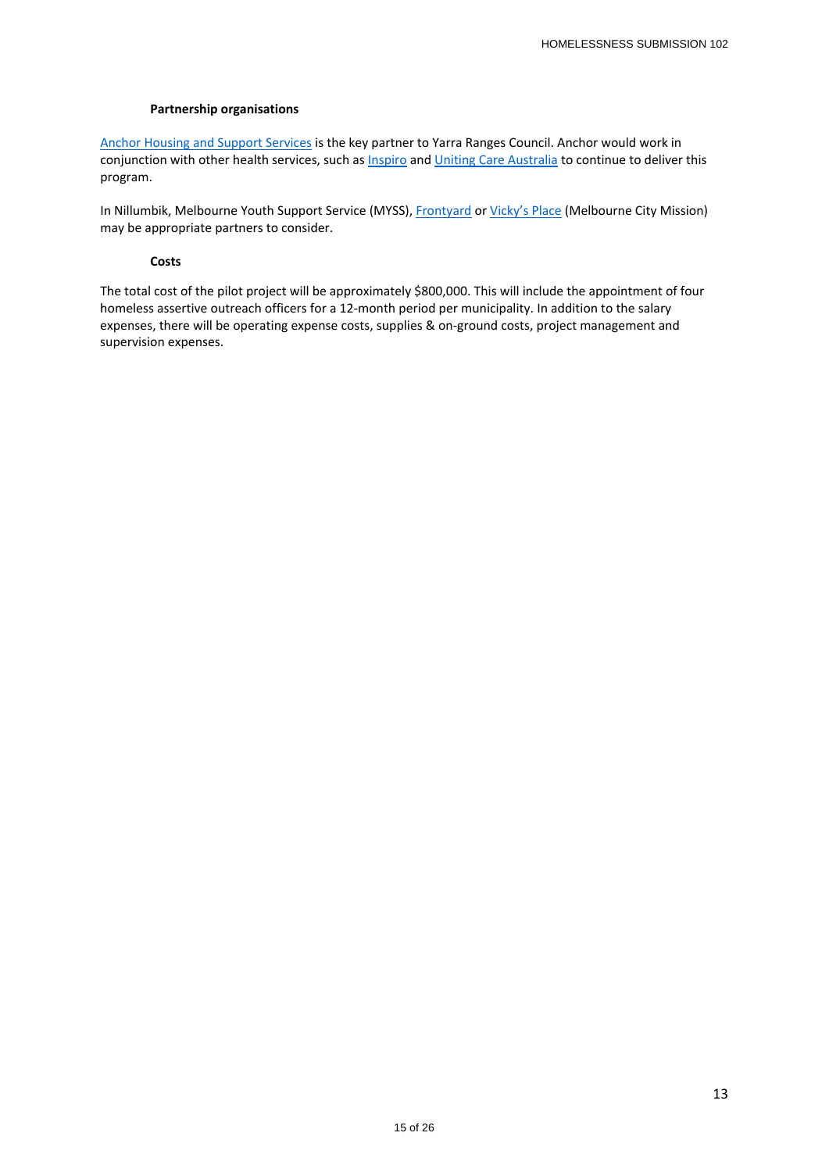#### **Partnership organisations**

Anchor Housing and Support Services is the key partner to Yarra Ranges Council. Anchor would work in conjunction with other health services, such as Inspiro and Uniting Care Australia to continue to deliver this program.

In Nillumbik, Melbourne Youth Support Service (MYSS), Frontyard or Vicky's Place (Melbourne City Mission) may be appropriate partners to consider.

#### **Costs**

The total cost of the pilot project will be approximately \$800,000. This will include the appointment of four homeless assertive outreach officers for a 12-month period per municipality. In addition to the salary expenses, there will be operating expense costs, supplies & on‐ground costs, project management and supervision expenses.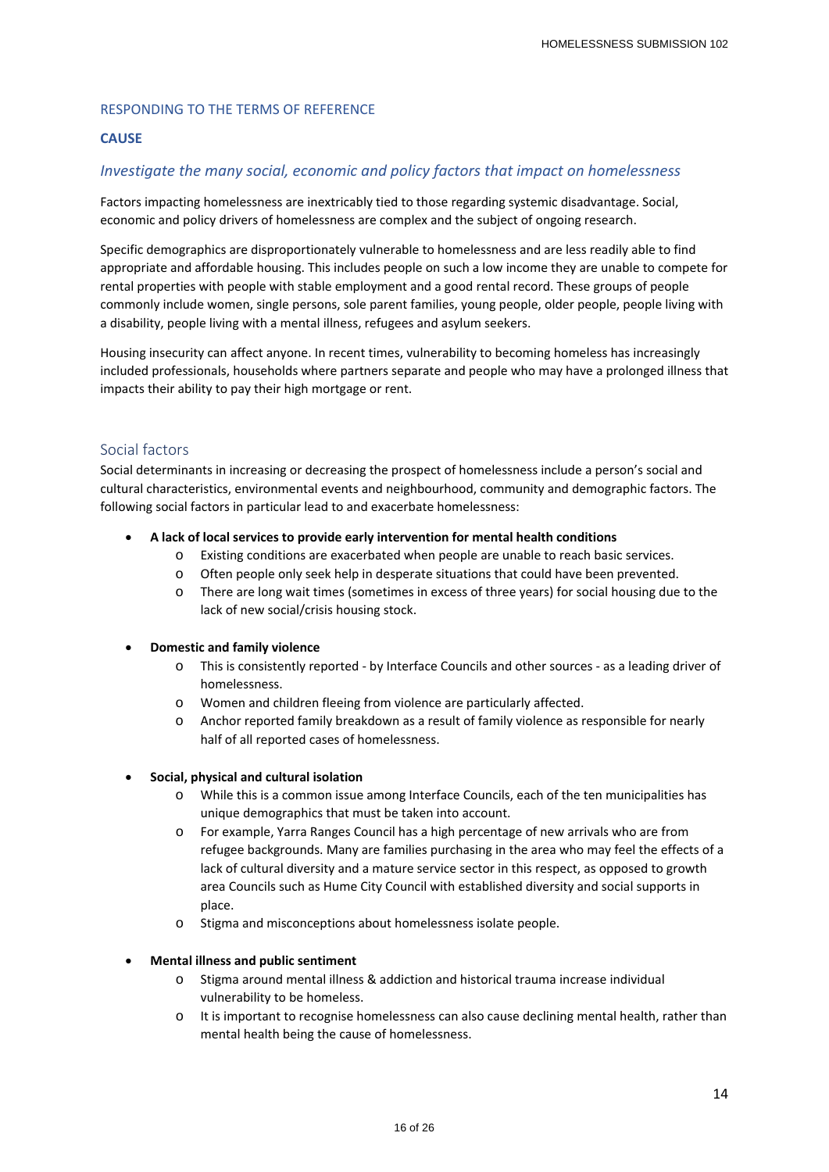### RESPONDING TO THE TERMS OF REFERENCE

### **CAUSE**

## *Investigate the many social, economic and policy factors that impact on homelessness*

Factors impacting homelessness are inextricably tied to those regarding systemic disadvantage. Social, economic and policy drivers of homelessness are complex and the subject of ongoing research.

Specific demographics are disproportionately vulnerable to homelessness and are less readily able to find appropriate and affordable housing. This includes people on such a low income they are unable to compete for rental properties with people with stable employment and a good rental record. These groups of people commonly include women, single persons, sole parent families, young people, older people, people living with a disability, people living with a mental illness, refugees and asylum seekers.

Housing insecurity can affect anyone. In recent times, vulnerability to becoming homeless has increasingly included professionals, households where partners separate and people who may have a prolonged illness that impacts their ability to pay their high mortgage or rent.

## Social factors

Social determinants in increasing or decreasing the prospect of homelessness include a person's social and cultural characteristics, environmental events and neighbourhood, community and demographic factors. The following social factors in particular lead to and exacerbate homelessness:

#### **A lack of local services to provide early intervention for mental health conditions**

- o Existing conditions are exacerbated when people are unable to reach basic services.
- o Often people only seek help in desperate situations that could have been prevented.
- o There are long wait times (sometimes in excess of three years) for social housing due to the lack of new social/crisis housing stock.

#### **Domestic and family violence**

- o This is consistently reported ‐ by Interface Councils and other sources ‐ as a leading driver of homelessness.
- o Women and children fleeing from violence are particularly affected.
- o Anchor reported family breakdown as a result of family violence as responsible for nearly half of all reported cases of homelessness.

#### **Social, physical and cultural isolation**

- o While this is a common issue among Interface Councils, each of the ten municipalities has unique demographics that must be taken into account.
- o For example, Yarra Ranges Council has a high percentage of new arrivals who are from refugee backgrounds. Many are families purchasing in the area who may feel the effects of a lack of cultural diversity and a mature service sector in this respect, as opposed to growth area Councils such as Hume City Council with established diversity and social supports in place.
- o Stigma and misconceptions about homelessness isolate people.

#### **Mental illness and public sentiment**

- Stigma around mental illness & addiction and historical trauma increase individual vulnerability to be homeless.
- o It is important to recognise homelessness can also cause declining mental health, rather than mental health being the cause of homelessness.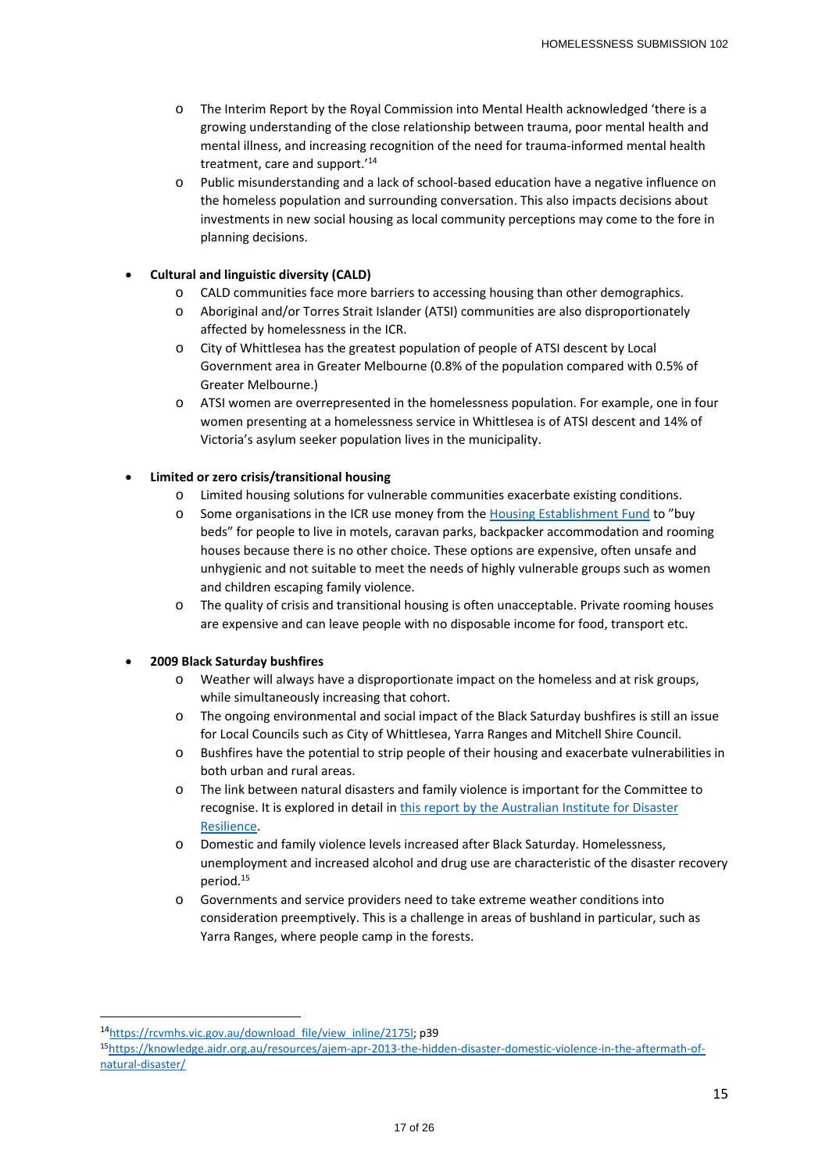- o The Interim Report by the Royal Commission into Mental Health acknowledged 'there is a growing understanding of the close relationship between trauma, poor mental health and mental illness, and increasing recognition of the need for trauma‐informed mental health treatment, care and support.'14
- Public misunderstanding and a lack of school-based education have a negative influence on the homeless population and surrounding conversation. This also impacts decisions about investments in new social housing as local community perceptions may come to the fore in planning decisions.

## **Cultural and linguistic diversity (CALD)**

- o CALD communities face more barriers to accessing housing than other demographics.
- o Aboriginal and/or Torres Strait Islander (ATSI) communities are also disproportionately affected by homelessness in the ICR.
- o City of Whittlesea has the greatest population of people of ATSI descent by Local Government area in Greater Melbourne (0.8% of the population compared with 0.5% of Greater Melbourne.)
- o ATSI women are overrepresented in the homelessness population. For example, one in four women presenting at a homelessness service in Whittlesea is of ATSI descent and 14% of Victoria's asylum seeker population lives in the municipality.

## **Limited or zero crisis/transitional housing**

- Limited housing solutions for vulnerable communities exacerbate existing conditions.
- o Some organisations in the ICR use money from the Housing Establishment Fund to "buy beds" for people to live in motels, caravan parks, backpacker accommodation and rooming houses because there is no other choice. These options are expensive, often unsafe and unhygienic and not suitable to meet the needs of highly vulnerable groups such as women and children escaping family violence.
- o The quality of crisis and transitional housing is often unacceptable. Private rooming houses are expensive and can leave people with no disposable income for food, transport etc.

## **2009 Black Saturday bushfires**

- o Weather will always have a disproportionate impact on the homeless and at risk groups, while simultaneously increasing that cohort.
- o The ongoing environmental and social impact of the Black Saturday bushfires is still an issue for Local Councils such as City of Whittlesea, Yarra Ranges and Mitchell Shire Council.
- o Bushfires have the potential to strip people of their housing and exacerbate vulnerabilities in both urban and rural areas.
- o The link between natural disasters and family violence is important for the Committee to recognise. It is explored in detail in this report by the Australian Institute for Disaster Resilience.
- o Domestic and family violence levels increased after Black Saturday. Homelessness, unemployment and increased alcohol and drug use are characteristic of the disaster recovery period.15
- o Governments and service providers need to take extreme weather conditions into consideration preemptively. This is a challenge in areas of bushland in particular, such as Yarra Ranges, where people camp in the forests.

<sup>14</sup>https://rcvmhs.vic.gov.au/download\_file/view\_inline/2175l; p39

<sup>15</sup>https://knowledge.aidr.org.au/resources/ajem‐apr‐2013‐the‐hidden‐disaster‐domestic‐violence‐in‐the‐aftermath‐of‐ natural‐disaster/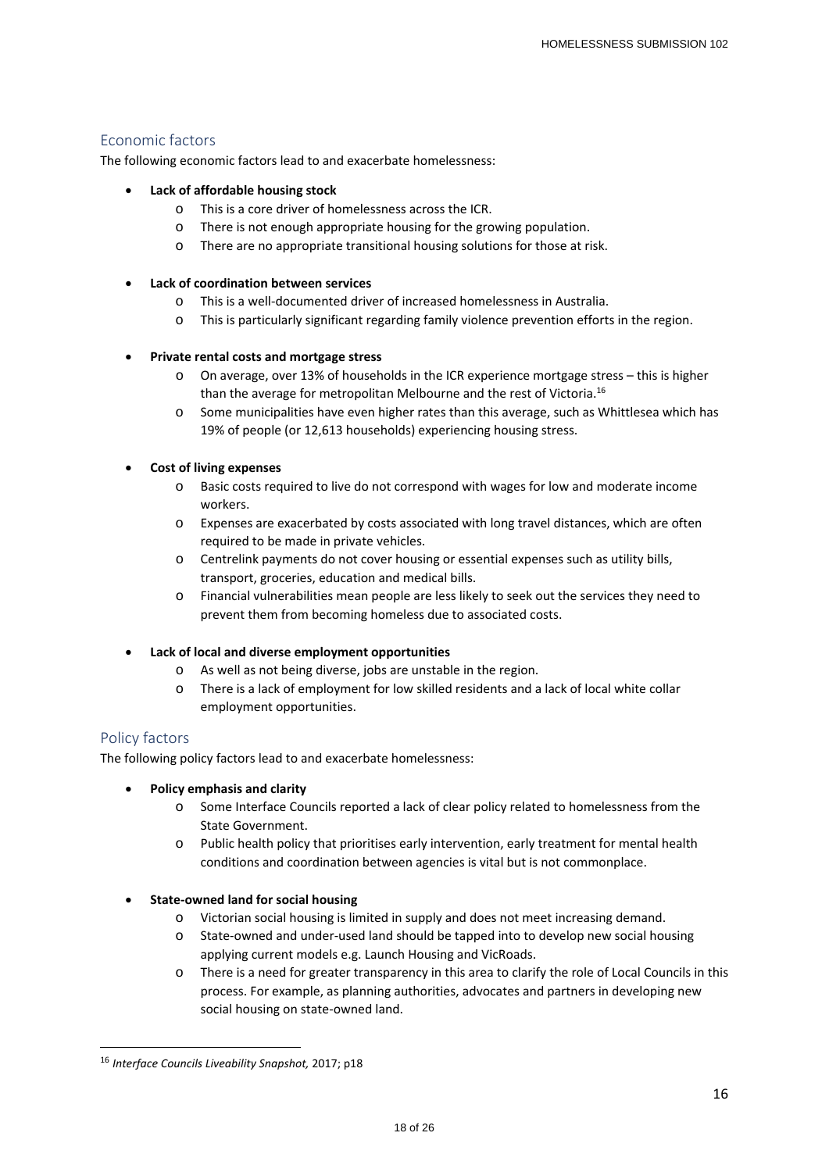## Economic factors

The following economic factors lead to and exacerbate homelessness:

### **Lack of affordable housing stock**

- o This is a core driver of homelessness across the ICR.
- o There is not enough appropriate housing for the growing population.
- o There are no appropriate transitional housing solutions for those at risk.
- **Lack of coordination between services**
	- o This is a well‐documented driver of increased homelessness in Australia.
	- o This is particularly significant regarding family violence prevention efforts in the region.

#### **Private rental costs and mortgage stress**

- o On average, over 13% of households in the ICR experience mortgage stress this is higher than the average for metropolitan Melbourne and the rest of Victoria.16
- o Some municipalities have even higher rates than this average, such as Whittlesea which has 19% of people (or 12,613 households) experiencing housing stress.

#### **Cost of living expenses**

- o Basic costs required to live do not correspond with wages for low and moderate income workers.
- o Expenses are exacerbated by costs associated with long travel distances, which are often required to be made in private vehicles.
- o Centrelink payments do not cover housing or essential expenses such as utility bills, transport, groceries, education and medical bills.
- o Financial vulnerabilities mean people are less likely to seek out the services they need to prevent them from becoming homeless due to associated costs.

## **Lack of local and diverse employment opportunities**

- As well as not being diverse, jobs are unstable in the region.
- o There is a lack of employment for low skilled residents and a lack of local white collar employment opportunities.

## Policy factors

The following policy factors lead to and exacerbate homelessness:

- **Policy emphasis and clarity** 
	- o Some Interface Councils reported a lack of clear policy related to homelessness from the State Government.
	- o Public health policy that prioritises early intervention, early treatment for mental health conditions and coordination between agencies is vital but is not commonplace.
- **State‐owned land for social housing** 
	- o Victorian social housing is limited in supply and does not meet increasing demand.
	- o State‐owned and under‐used land should be tapped into to develop new social housing applying current models e.g. Launch Housing and VicRoads.
	- o There is a need for greater transparency in this area to clarify the role of Local Councils in this process. For example, as planning authorities, advocates and partners in developing new social housing on state‐owned land.

<sup>16</sup> *Interface Councils Liveability Snapshot,* 2017; p18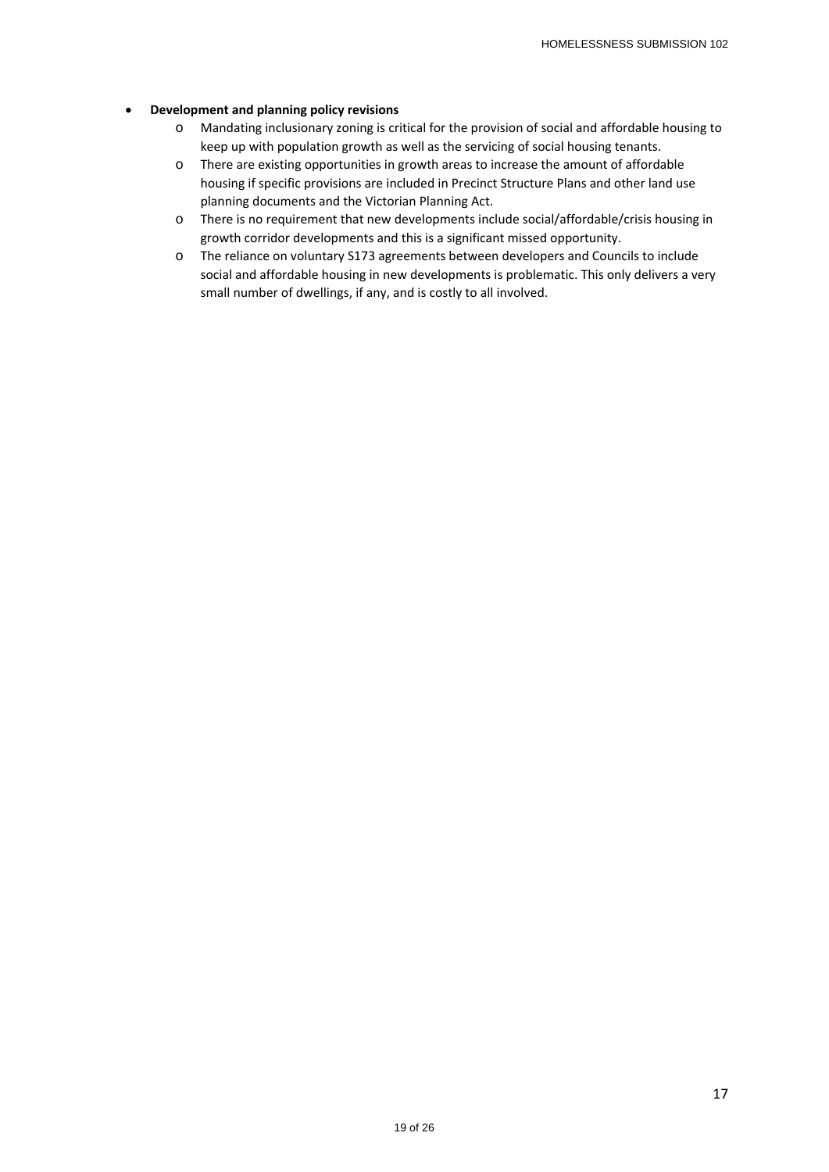#### **Development and planning policy revisions**

- o Mandating inclusionary zoning is critical for the provision of social and affordable housing to keep up with population growth as well as the servicing of social housing tenants.
- o There are existing opportunities in growth areas to increase the amount of affordable housing if specific provisions are included in Precinct Structure Plans and other land use planning documents and the Victorian Planning Act.
- o There is no requirement that new developments include social/affordable/crisis housing in growth corridor developments and this is a significant missed opportunity.
- o The reliance on voluntary S173 agreements between developers and Councils to include social and affordable housing in new developments is problematic. This only delivers a very small number of dwellings, if any, and is costly to all involved.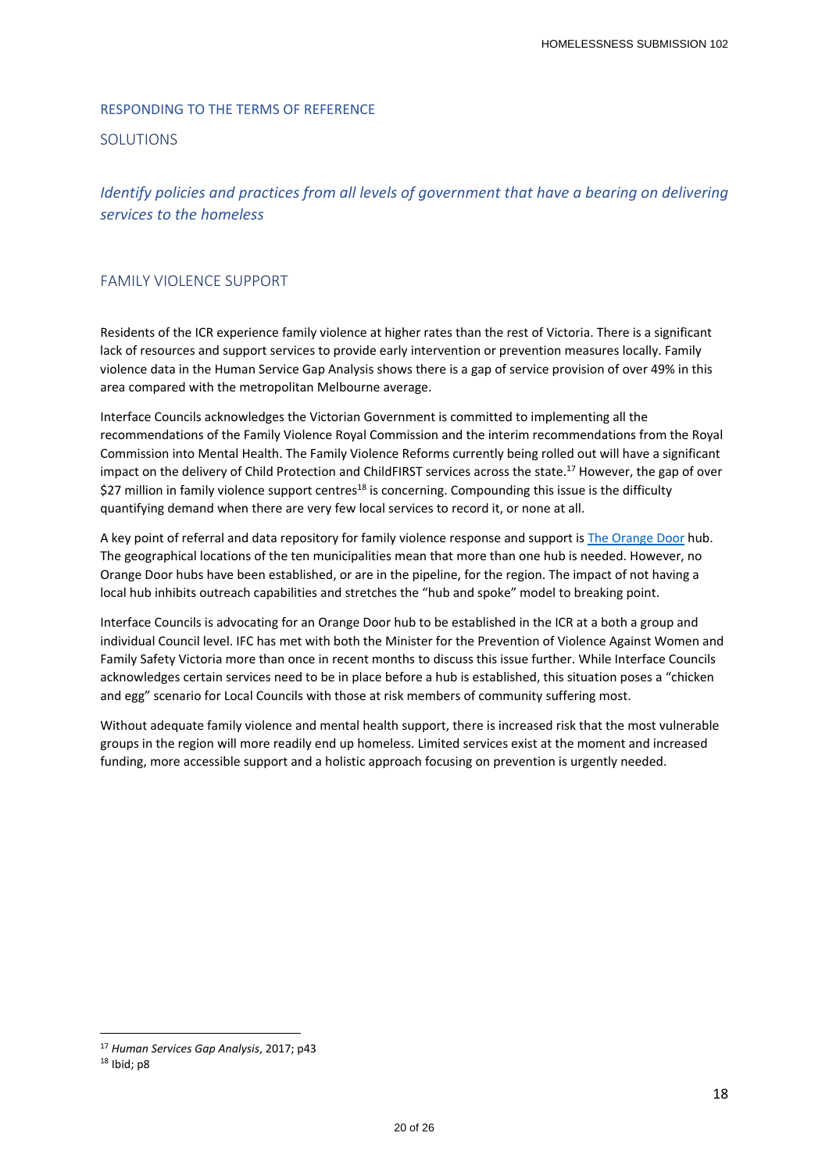#### RESPONDING TO THE TERMS OF REFERENCE

#### SOLUTIONS

# *Identify policies and practices from all levels of government that have a bearing on delivering services to the homeless*

### FAMILY VIOLENCE SUPPORT

Residents of the ICR experience family violence at higher rates than the rest of Victoria. There is a significant lack of resources and support services to provide early intervention or prevention measures locally. Family violence data in the Human Service Gap Analysis shows there is a gap of service provision of over 49% in this area compared with the metropolitan Melbourne average.

Interface Councils acknowledges the Victorian Government is committed to implementing all the recommendations of the Family Violence Royal Commission and the interim recommendations from the Royal Commission into Mental Health. The Family Violence Reforms currently being rolled out will have a significant impact on the delivery of Child Protection and ChildFIRST services across the state.17 However, the gap of over \$27 million in family violence support centres<sup>18</sup> is concerning. Compounding this issue is the difficulty quantifying demand when there are very few local services to record it, or none at all.

A key point of referral and data repository for family violence response and support is The Orange Door hub. The geographical locations of the ten municipalities mean that more than one hub is needed. However, no Orange Door hubs have been established, or are in the pipeline, for the region. The impact of not having a local hub inhibits outreach capabilities and stretches the "hub and spoke" model to breaking point.

Interface Councils is advocating for an Orange Door hub to be established in the ICR at a both a group and individual Council level. IFC has met with both the Minister for the Prevention of Violence Against Women and Family Safety Victoria more than once in recent months to discuss this issue further. While Interface Councils acknowledges certain services need to be in place before a hub is established, this situation poses a "chicken and egg" scenario for Local Councils with those at risk members of community suffering most.

Without adequate family violence and mental health support, there is increased risk that the most vulnerable groups in the region will more readily end up homeless. Limited services exist at the moment and increased funding, more accessible support and a holistic approach focusing on prevention is urgently needed.

 <sup>17</sup> *Human Services Gap Analysis*, 2017; p43

<sup>18</sup> Ibid; p8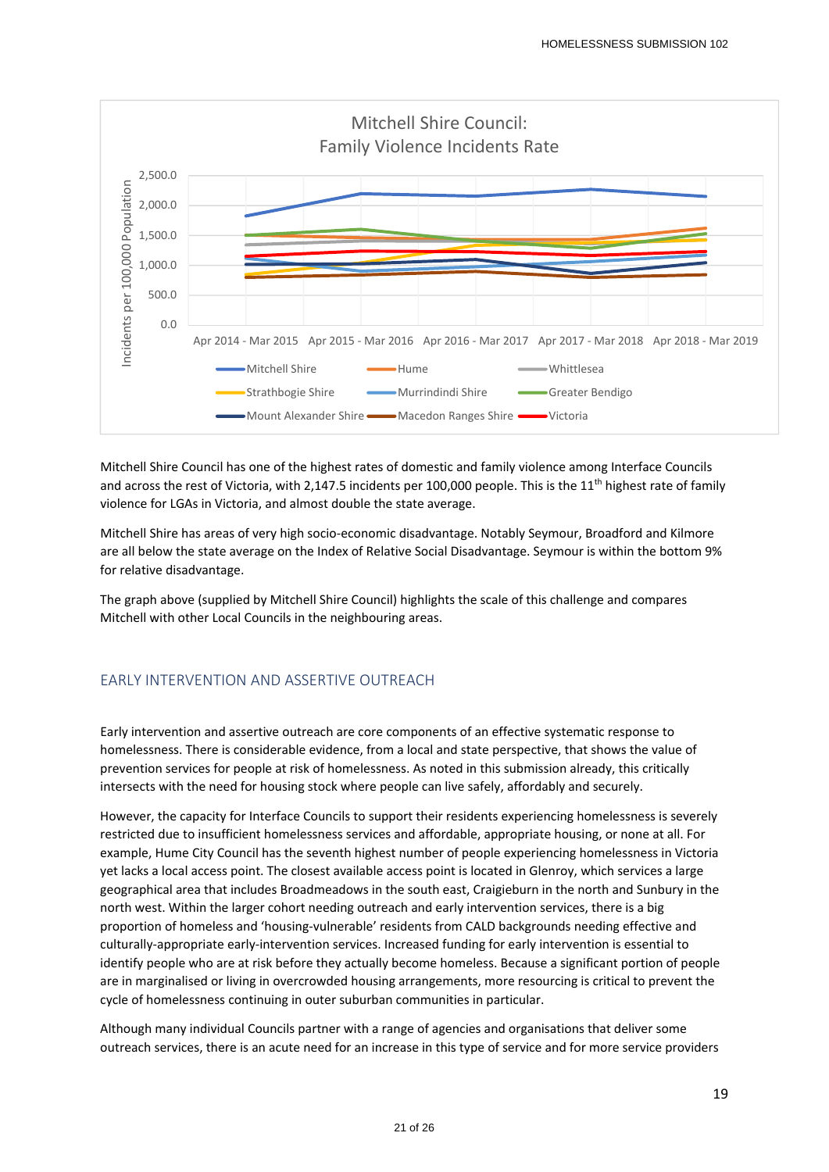

Mitchell Shire Council has one of the highest rates of domestic and family violence among Interface Councils and across the rest of Victoria, with 2,147.5 incidents per 100,000 people. This is the  $11<sup>th</sup>$  highest rate of family violence for LGAs in Victoria, and almost double the state average.

Mitchell Shire has areas of very high socio‐economic disadvantage. Notably Seymour, Broadford and Kilmore are all below the state average on the Index of Relative Social Disadvantage. Seymour is within the bottom 9% for relative disadvantage.

The graph above (supplied by Mitchell Shire Council) highlights the scale of this challenge and compares Mitchell with other Local Councils in the neighbouring areas.

# EARLY INTERVENTION AND ASSERTIVE OUTREACH

Early intervention and assertive outreach are core components of an effective systematic response to homelessness. There is considerable evidence, from a local and state perspective, that shows the value of prevention services for people at risk of homelessness. As noted in this submission already, this critically intersects with the need for housing stock where people can live safely, affordably and securely.

However, the capacity for Interface Councils to support their residents experiencing homelessness is severely restricted due to insufficient homelessness services and affordable, appropriate housing, or none at all. For example, Hume City Council has the seventh highest number of people experiencing homelessness in Victoria yet lacks a local access point. The closest available access point is located in Glenroy, which services a large geographical area that includes Broadmeadows in the south east, Craigieburn in the north and Sunbury in the north west. Within the larger cohort needing outreach and early intervention services, there is a big proportion of homeless and 'housing‐vulnerable' residents from CALD backgrounds needing effective and culturally‐appropriate early‐intervention services. Increased funding for early intervention is essential to identify people who are at risk before they actually become homeless. Because a significant portion of people are in marginalised or living in overcrowded housing arrangements, more resourcing is critical to prevent the cycle of homelessness continuing in outer suburban communities in particular.

Although many individual Councils partner with a range of agencies and organisations that deliver some outreach services, there is an acute need for an increase in this type of service and for more service providers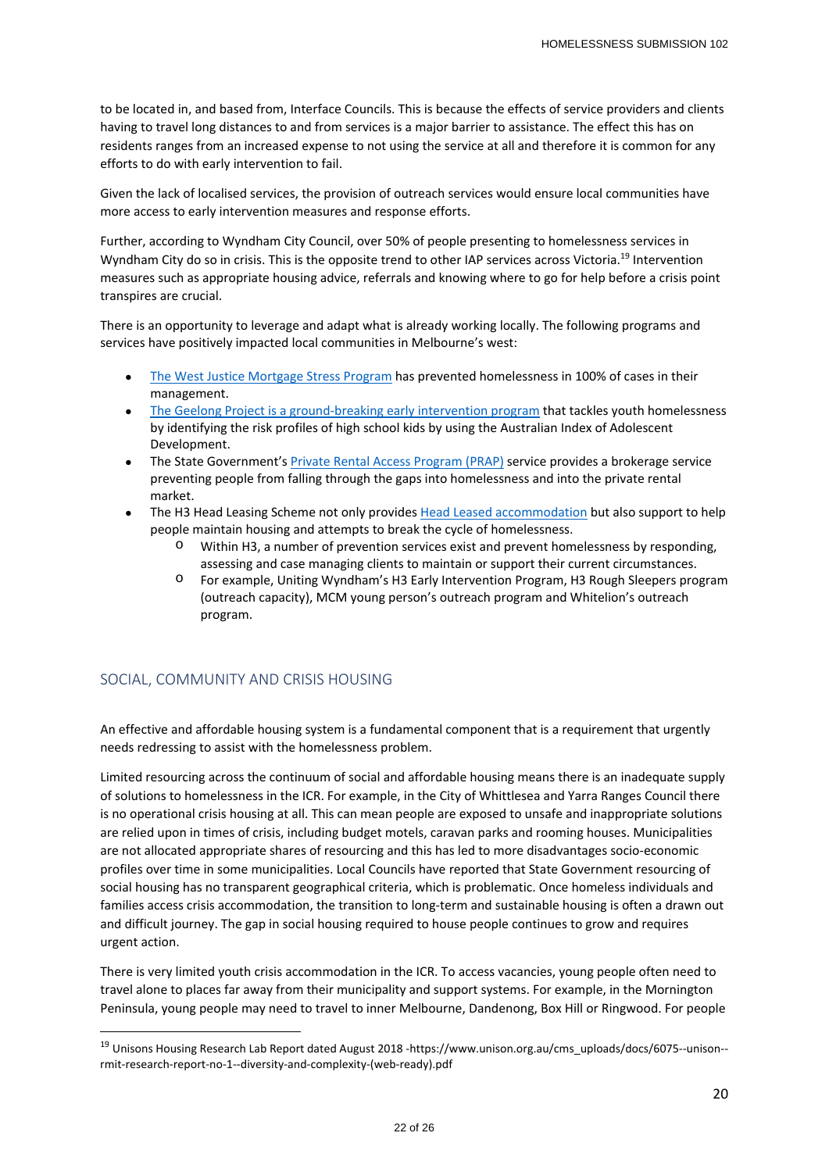to be located in, and based from, Interface Councils. This is because the effects of service providers and clients having to travel long distances to and from services is a major barrier to assistance. The effect this has on residents ranges from an increased expense to not using the service at all and therefore it is common for any efforts to do with early intervention to fail.

Given the lack of localised services, the provision of outreach services would ensure local communities have more access to early intervention measures and response efforts.

Further, according to Wyndham City Council, over 50% of people presenting to homelessness services in Wyndham City do so in crisis. This is the opposite trend to other IAP services across Victoria.<sup>19</sup> Intervention measures such as appropriate housing advice, referrals and knowing where to go for help before a crisis point transpires are crucial.

There is an opportunity to leverage and adapt what is already working locally. The following programs and services have positively impacted local communities in Melbourne's west:

- The West Justice Mortgage Stress Program has prevented homelessness in 100% of cases in their management.
- The Geelong Project is a ground-breaking early intervention program that tackles youth homelessness by identifying the risk profiles of high school kids by using the Australian Index of Adolescent Development.
- The State Government's Private Rental Access Program (PRAP) service provides a brokerage service preventing people from falling through the gaps into homelessness and into the private rental market.
- The H3 Head Leasing Scheme not only provides Head Leased accommodation but also support to help people maintain housing and attempts to break the cycle of homelessness.
	- Within H3, a number of prevention services exist and prevent homelessness by responding, assessing and case managing clients to maintain or support their current circumstances.
	- o For example, Uniting Wyndham's H3 Early Intervention Program, H3 Rough Sleepers program (outreach capacity), MCM young person's outreach program and Whitelion's outreach program.

## SOCIAL, COMMUNITY AND CRISIS HOUSING

An effective and affordable housing system is a fundamental component that is a requirement that urgently needs redressing to assist with the homelessness problem.

Limited resourcing across the continuum of social and affordable housing means there is an inadequate supply of solutions to homelessness in the ICR. For example, in the City of Whittlesea and Yarra Ranges Council there is no operational crisis housing at all. This can mean people are exposed to unsafe and inappropriate solutions are relied upon in times of crisis, including budget motels, caravan parks and rooming houses. Municipalities are not allocated appropriate shares of resourcing and this has led to more disadvantages socio‐economic profiles over time in some municipalities. Local Councils have reported that State Government resourcing of social housing has no transparent geographical criteria, which is problematic. Once homeless individuals and families access crisis accommodation, the transition to long-term and sustainable housing is often a drawn out and difficult journey. The gap in social housing required to house people continues to grow and requires urgent action.

There is very limited youth crisis accommodation in the ICR. To access vacancies, young people often need to travel alone to places far away from their municipality and support systems. For example, in the Mornington Peninsula, young people may need to travel to inner Melbourne, Dandenong, Box Hill or Ringwood. For people

<sup>19</sup> Unisons Housing Research Lab Report dated August 2018 ‐https://www.unison.org.au/cms\_uploads/docs/6075‐‐unison‐‐ rmit‐research‐report‐no‐1‐‐diversity‐and‐complexity‐(web‐ready).pdf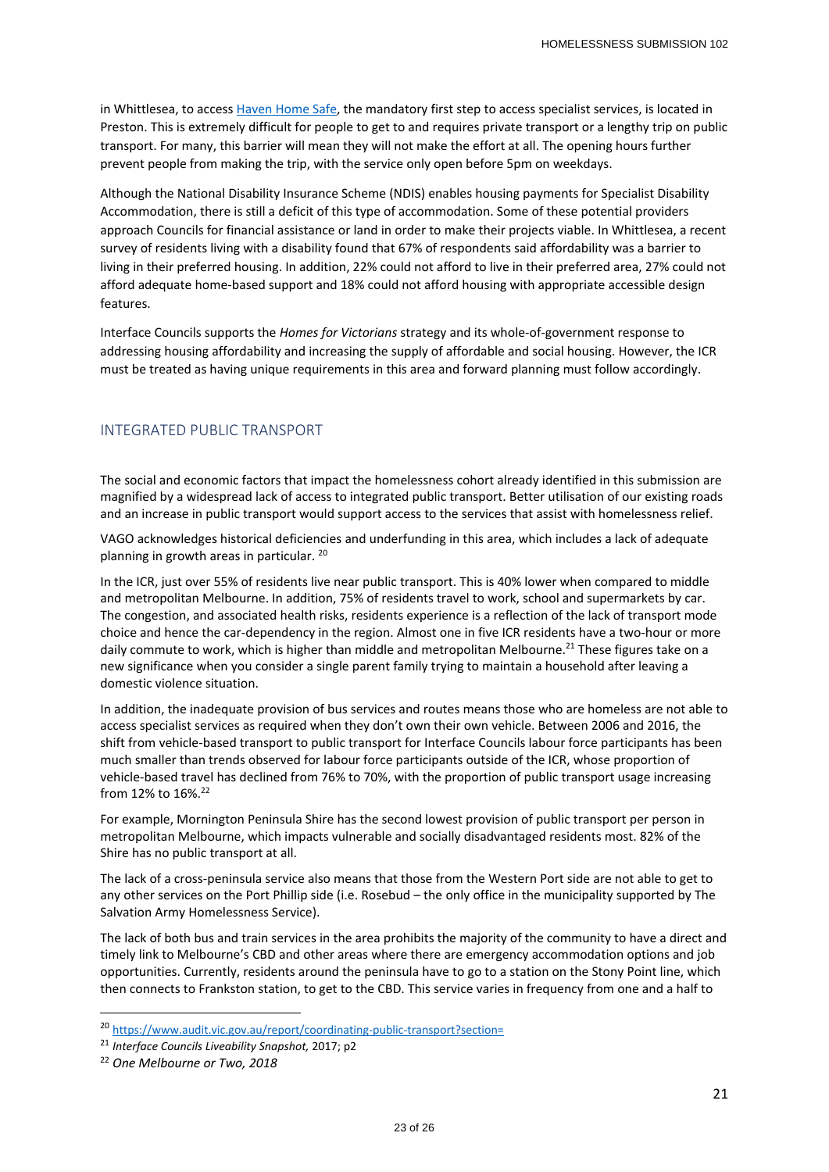in Whittlesea, to access Haven Home Safe, the mandatory first step to access specialist services, is located in Preston. This is extremely difficult for people to get to and requires private transport or a lengthy trip on public transport. For many, this barrier will mean they will not make the effort at all. The opening hours further prevent people from making the trip, with the service only open before 5pm on weekdays.

Although the National Disability Insurance Scheme (NDIS) enables housing payments for Specialist Disability Accommodation, there is still a deficit of this type of accommodation. Some of these potential providers approach Councils for financial assistance or land in order to make their projects viable. In Whittlesea, a recent survey of residents living with a disability found that 67% of respondents said affordability was a barrier to living in their preferred housing. In addition, 22% could not afford to live in their preferred area, 27% could not afford adequate home‐based support and 18% could not afford housing with appropriate accessible design features.

Interface Councils supports the *Homes for Victorians* strategy and its whole‐of‐government response to addressing housing affordability and increasing the supply of affordable and social housing. However, the ICR must be treated as having unique requirements in this area and forward planning must follow accordingly.

## INTEGRATED PUBLIC TRANSPORT

The social and economic factors that impact the homelessness cohort already identified in this submission are magnified by a widespread lack of access to integrated public transport. Better utilisation of our existing roads and an increase in public transport would support access to the services that assist with homelessness relief.

VAGO acknowledges historical deficiencies and underfunding in this area, which includes a lack of adequate planning in growth areas in particular. 20

In the ICR, just over 55% of residents live near public transport. This is 40% lower when compared to middle and metropolitan Melbourne. In addition, 75% of residents travel to work, school and supermarkets by car. The congestion, and associated health risks, residents experience is a reflection of the lack of transport mode choice and hence the car-dependency in the region. Almost one in five ICR residents have a two-hour or more daily commute to work, which is higher than middle and metropolitan Melbourne.<sup>21</sup> These figures take on a new significance when you consider a single parent family trying to maintain a household after leaving a domestic violence situation.

In addition, the inadequate provision of bus services and routes means those who are homeless are not able to access specialist services as required when they don't own their own vehicle. Between 2006 and 2016, the shift from vehicle‐based transport to public transport for Interface Councils labour force participants has been much smaller than trends observed for labour force participants outside of the ICR, whose proportion of vehicle-based travel has declined from 76% to 70%, with the proportion of public transport usage increasing from 12% to 16%.22

For example, Mornington Peninsula Shire has the second lowest provision of public transport per person in metropolitan Melbourne, which impacts vulnerable and socially disadvantaged residents most. 82% of the Shire has no public transport at all.

The lack of a cross-peninsula service also means that those from the Western Port side are not able to get to any other services on the Port Phillip side (i.e. Rosebud – the only office in the municipality supported by The Salvation Army Homelessness Service).

The lack of both bus and train services in the area prohibits the majority of the community to have a direct and timely link to Melbourne's CBD and other areas where there are emergency accommodation options and job opportunities. Currently, residents around the peninsula have to go to a station on the Stony Point line, which then connects to Frankston station, to get to the CBD. This service varies in frequency from one and a half to

<sup>20</sup> https://www.audit.vic.gov.au/report/coordinating-public-transport?section=

<sup>21</sup> *Interface Councils Liveability Snapshot,* 2017; p2

<sup>22</sup> *One Melbourne or Two, 2018*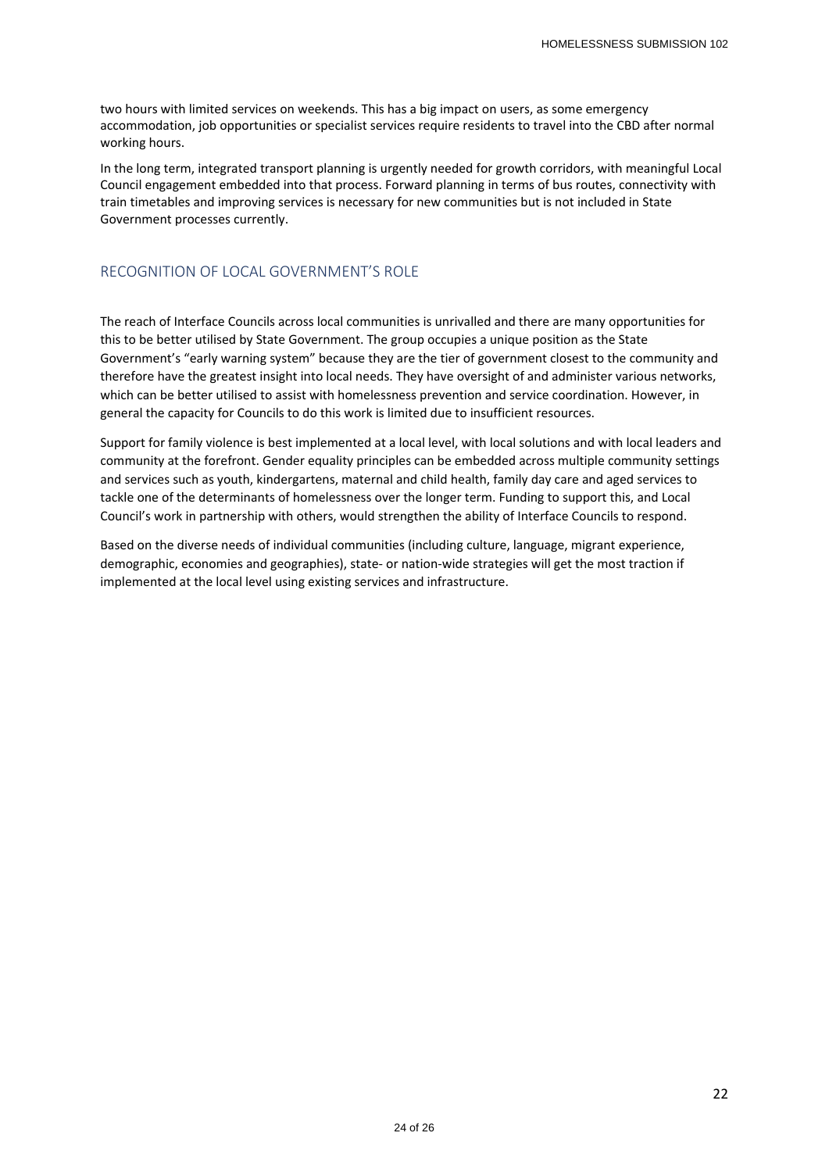two hours with limited services on weekends. This has a big impact on users, as some emergency accommodation, job opportunities or specialist services require residents to travel into the CBD after normal working hours.

In the long term, integrated transport planning is urgently needed for growth corridors, with meaningful Local Council engagement embedded into that process. Forward planning in terms of bus routes, connectivity with train timetables and improving services is necessary for new communities but is not included in State Government processes currently.

## RECOGNITION OF LOCAL GOVERNMENT'S ROLE

The reach of Interface Councils across local communities is unrivalled and there are many opportunities for this to be better utilised by State Government. The group occupies a unique position as the State Government's "early warning system" because they are the tier of government closest to the community and therefore have the greatest insight into local needs. They have oversight of and administer various networks, which can be better utilised to assist with homelessness prevention and service coordination. However, in general the capacity for Councils to do this work is limited due to insufficient resources.

Support for family violence is best implemented at a local level, with local solutions and with local leaders and community at the forefront. Gender equality principles can be embedded across multiple community settings and services such as youth, kindergartens, maternal and child health, family day care and aged services to tackle one of the determinants of homelessness over the longer term. Funding to support this, and Local Council's work in partnership with others, would strengthen the ability of Interface Councils to respond.

Based on the diverse needs of individual communities (including culture, language, migrant experience, demographic, economies and geographies), state‐ or nation‐wide strategies will get the most traction if implemented at the local level using existing services and infrastructure.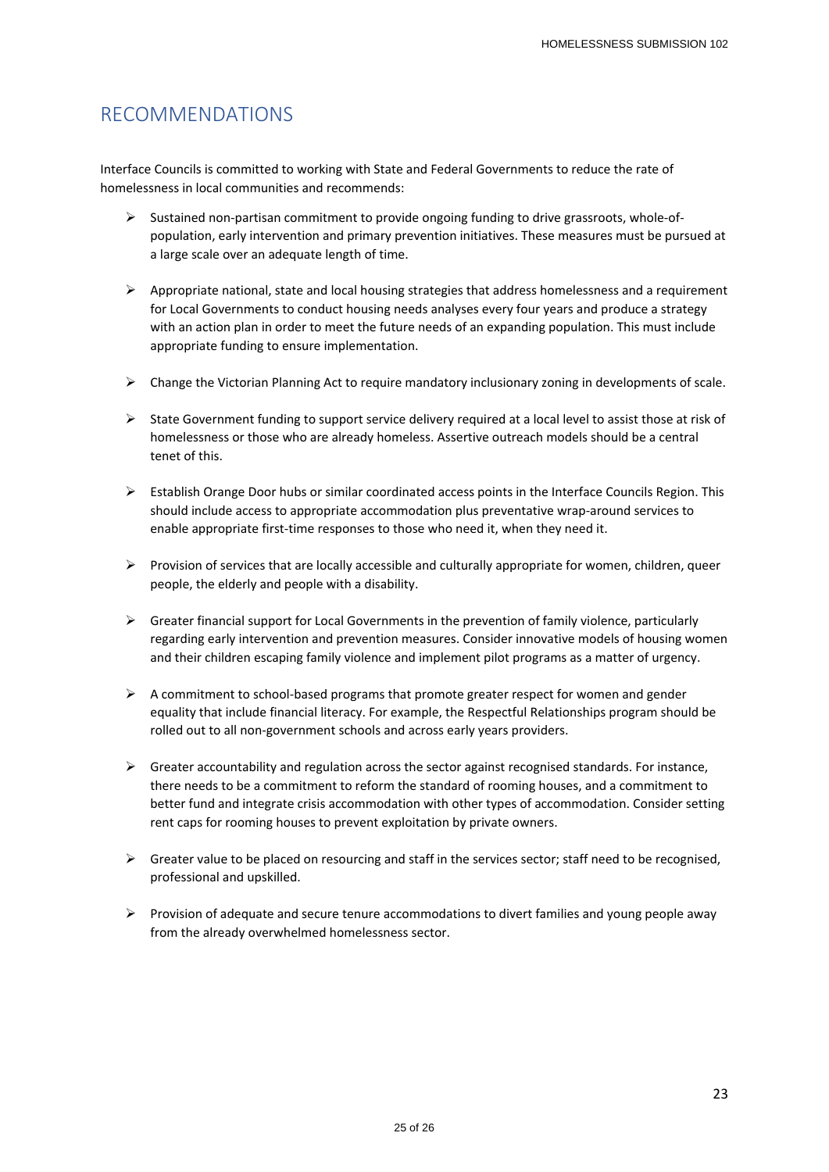# RECOMMENDATIONS

Interface Councils is committed to working with State and Federal Governments to reduce the rate of homelessness in local communities and recommends:

- Sustained non‐partisan commitment to provide ongoing funding to drive grassroots, whole‐of‐ population, early intervention and primary prevention initiatives. These measures must be pursued at a large scale over an adequate length of time.
- $\triangleright$  Appropriate national, state and local housing strategies that address homelessness and a requirement for Local Governments to conduct housing needs analyses every four years and produce a strategy with an action plan in order to meet the future needs of an expanding population. This must include appropriate funding to ensure implementation.
- $\triangleright$  Change the Victorian Planning Act to require mandatory inclusionary zoning in developments of scale.
- $\triangleright$  State Government funding to support service delivery required at a local level to assist those at risk of homelessness or those who are already homeless. Assertive outreach models should be a central tenet of this.
- $\triangleright$  Establish Orange Door hubs or similar coordinated access points in the Interface Councils Region. This should include access to appropriate accommodation plus preventative wrap‐around services to enable appropriate first-time responses to those who need it, when they need it.
- $\triangleright$  Provision of services that are locally accessible and culturally appropriate for women, children, queer people, the elderly and people with a disability.
- $\triangleright$  Greater financial support for Local Governments in the prevention of family violence, particularly regarding early intervention and prevention measures. Consider innovative models of housing women and their children escaping family violence and implement pilot programs as a matter of urgency.
- A commitment to school‐based programs that promote greater respect for women and gender equality that include financial literacy. For example, the Respectful Relationships program should be rolled out to all non‐government schools and across early years providers.
- $\triangleright$  Greater accountability and regulation across the sector against recognised standards. For instance, there needs to be a commitment to reform the standard of rooming houses, and a commitment to better fund and integrate crisis accommodation with other types of accommodation. Consider setting rent caps for rooming houses to prevent exploitation by private owners.
- Greater value to be placed on resourcing and staff in the services sector; staff need to be recognised, professional and upskilled.
- $\triangleright$  Provision of adequate and secure tenure accommodations to divert families and young people away from the already overwhelmed homelessness sector.